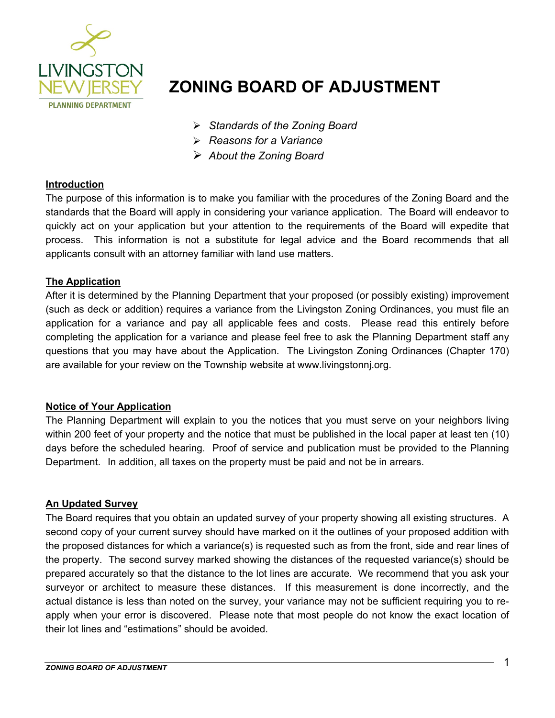

# **ZONING BOARD OF ADJUSTMENT**

- *Standards of the Zoning Board*
- *Reasons for a Variance*
- *About the Zoning Board*

#### **Introduction**

The purpose of this information is to make you familiar with the procedures of the Zoning Board and the standards that the Board will apply in considering your variance application. The Board will endeavor to quickly act on your application but your attention to the requirements of the Board will expedite that process. This information is not a substitute for legal advice and the Board recommends that all applicants consult with an attorney familiar with land use matters.

#### **The Application**

After it is determined by the Planning Department that your proposed (or possibly existing) improvement (such as deck or addition) requires a variance from the Livingston Zoning Ordinances, you must file an application for a variance and pay all applicable fees and costs. Please read this entirely before completing the application for a variance and please feel free to ask the Planning Department staff any questions that you may have about the Application. The Livingston Zoning Ordinances (Chapter 170) are available for your review on the Township website at www.livingstonnj.org.

#### **Notice of Your Application**

The Planning Department will explain to you the notices that you must serve on your neighbors living within 200 feet of your property and the notice that must be published in the local paper at least ten (10) days before the scheduled hearing. Proof of service and publication must be provided to the Planning Department. In addition, all taxes on the property must be paid and not be in arrears.

#### **An Updated Survey**

The Board requires that you obtain an updated survey of your property showing all existing structures. A second copy of your current survey should have marked on it the outlines of your proposed addition with the proposed distances for which a variance(s) is requested such as from the front, side and rear lines of the property. The second survey marked showing the distances of the requested variance(s) should be prepared accurately so that the distance to the lot lines are accurate. We recommend that you ask your surveyor or architect to measure these distances. If this measurement is done incorrectly, and the actual distance is less than noted on the survey, your variance may not be sufficient requiring you to reapply when your error is discovered. Please note that most people do not know the exact location of their lot lines and "estimations" should be avoided.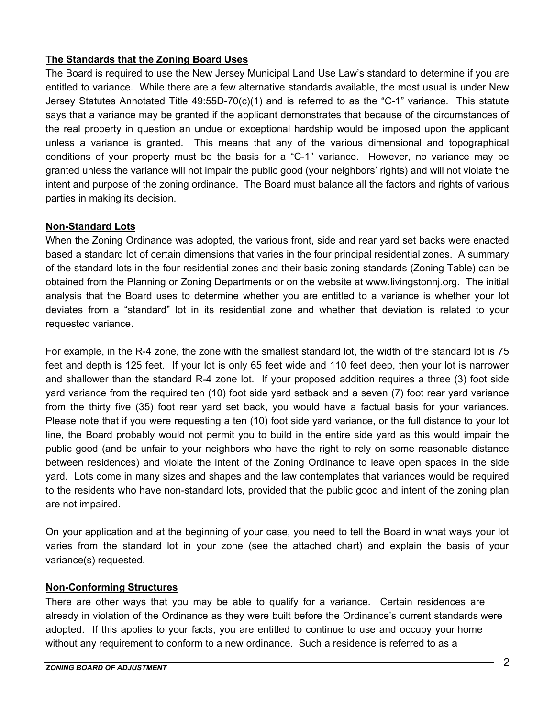## **The Standards that the Zoning Board Uses**

The Board is required to use the New Jersey Municipal Land Use Law's standard to determine if you are entitled to variance. While there are a few alternative standards available, the most usual is under New Jersey Statutes Annotated Title 49:55D-70(c)(1) and is referred to as the "C-1" variance. This statute says that a variance may be granted if the applicant demonstrates that because of the circumstances of the real property in question an undue or exceptional hardship would be imposed upon the applicant unless a variance is granted. This means that any of the various dimensional and topographical conditions of your property must be the basis for a "C-1" variance. However, no variance may be granted unless the variance will not impair the public good (your neighbors' rights) and will not violate the intent and purpose of the zoning ordinance. The Board must balance all the factors and rights of various parties in making its decision.

#### **Non-Standard Lots**

When the Zoning Ordinance was adopted, the various front, side and rear yard set backs were enacted based a standard lot of certain dimensions that varies in the four principal residential zones. A summary of the standard lots in the four residential zones and their basic zoning standards (Zoning Table) can be obtained from the Planning or Zoning Departments or on the website at www.livingstonnj.org. The initial analysis that the Board uses to determine whether you are entitled to a variance is whether your lot deviates from a "standard" lot in its residential zone and whether that deviation is related to your requested variance.

For example, in the R-4 zone, the zone with the smallest standard lot, the width of the standard lot is 75 feet and depth is 125 feet. If your lot is only 65 feet wide and 110 feet deep, then your lot is narrower and shallower than the standard R-4 zone lot. If your proposed addition requires a three (3) foot side yard variance from the required ten (10) foot side yard setback and a seven (7) foot rear yard variance from the thirty five (35) foot rear yard set back, you would have a factual basis for your variances. Please note that if you were requesting a ten (10) foot side yard variance, or the full distance to your lot line, the Board probably would not permit you to build in the entire side yard as this would impair the public good (and be unfair to your neighbors who have the right to rely on some reasonable distance between residences) and violate the intent of the Zoning Ordinance to leave open spaces in the side yard. Lots come in many sizes and shapes and the law contemplates that variances would be required to the residents who have non-standard lots, provided that the public good and intent of the zoning plan are not impaired.

On your application and at the beginning of your case, you need to tell the Board in what ways your lot varies from the standard lot in your zone (see the attached chart) and explain the basis of your variance(s) requested.

#### **Non-Conforming Structures**

There are other ways that you may be able to qualify for a variance. Certain residences are already in violation of the Ordinance as they were built before the Ordinance's current standards were adopted. If this applies to your facts, you are entitled to continue to use and occupy your home without any requirement to conform to a new ordinance. Such a residence is referred to as a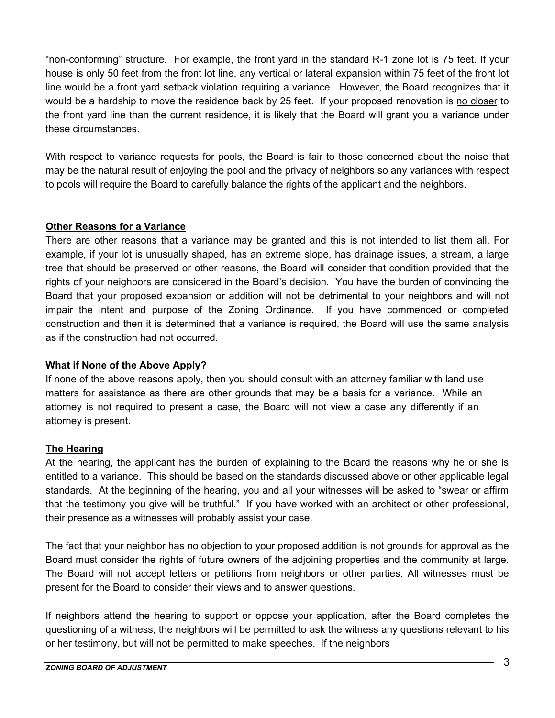"non-conforming" structure. For example, the front yard in the standard R-1 zone lot is 75 feet. If your house is only 50 feet from the front lot line, any vertical or lateral expansion within 75 feet of the front lot line would be a front yard setback violation requiring a variance. However, the Board recognizes that it would be a hardship to move the residence back by 25 feet. If your proposed renovation is no closer to the front yard line than the current residence, it is likely that the Board will grant you a variance under these circumstances.

With respect to variance requests for pools, the Board is fair to those concerned about the noise that may be the natural result of enjoying the pool and the privacy of neighbors so any variances with respect to pools will require the Board to carefully balance the rights of the applicant and the neighbors.

## **Other Reasons for a Variance**

There are other reasons that a variance may be granted and this is not intended to list them all. For example, if your lot is unusually shaped, has an extreme slope, has drainage issues, a stream, a large tree that should be preserved or other reasons, the Board will consider that condition provided that the rights of your neighbors are considered in the Board's decision. You have the burden of convincing the Board that your proposed expansion or addition will not be detrimental to your neighbors and will not impair the intent and purpose of the Zoning Ordinance. If you have commenced or completed construction and then it is determined that a variance is required, the Board will use the same analysis as if the construction had not occurred.

#### **What if None of the Above Apply?**

If none of the above reasons apply, then you should consult with an attorney familiar with land use matters for assistance as there are other grounds that may be a basis for a variance. While an attorney is not required to present a case, the Board will not view a case any differently if an attorney is present.

# **The Hearing**

At the hearing, the applicant has the burden of explaining to the Board the reasons why he or she is entitled to a variance. This should be based on the standards discussed above or other applicable legal standards. At the beginning of the hearing, you and all your witnesses will be asked to "swear or affirm that the testimony you give will be truthful." If you have worked with an architect or other professional, their presence as a witnesses will probably assist your case.

The fact that your neighbor has no objection to your proposed addition is not grounds for approval as the Board must consider the rights of future owners of the adjoining properties and the community at large. The Board will not accept letters or petitions from neighbors or other parties. All witnesses must be present for the Board to consider their views and to answer questions.

If neighbors attend the hearing to support or oppose your application, after the Board completes the questioning of a witness, the neighbors will be permitted to ask the witness any questions relevant to his or her testimony, but will not be permitted to make speeches. If the neighbors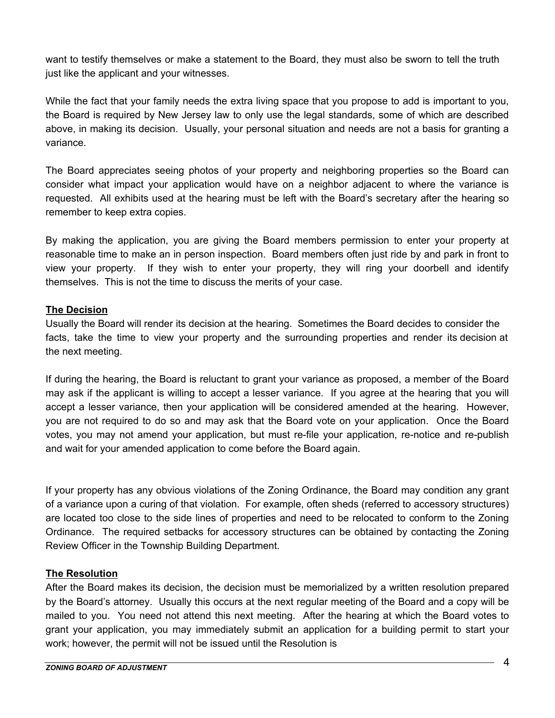want to testify themselves or make a statement to the Board, they must also be sworn to tell the truth just like the applicant and your witnesses.

While the fact that your family needs the extra living space that you propose to add is important to you, the Board is required by New Jersey law to only use the legal standards, some of which are described above, in making its decision. Usually, your personal situation and needs are not a basis for granting a variance.

The Board appreciates seeing photos of your property and neighboring properties so the Board can consider what impact your application would have on a neighbor adjacent to where the variance is requested. All exhibits used at the hearing must be left with the Board's secretary after the hearing so remember to keep extra copies.

By making the application, you are giving the Board members permission to enter your property at reasonable time to make an in person inspection. Board members often just ride by and park in front to view your property. If they wish to enter your property, they will ring your doorbell and identify themselves. This is not the time to discuss the merits of your case.

## **The Decision**

Usually the Board will render its decision at the hearing. Sometimes the Board decides to consider the facts, take the time to view your property and the surrounding properties and render its decision at the next meeting.

If during the hearing, the Board is reluctant to grant your variance as proposed, a member of the Board may ask if the applicant is willing to accept a lesser variance. If you agree at the hearing that you will accept a lesser variance, then your application will be considered amended at the hearing. However, you are not required to do so and may ask that the Board vote on your application. Once the Board votes, you may not amend your application, but must re-file your application, re-notice and re-publish and wait for your amended application to come before the Board again.

If your property has any obvious violations of the Zoning Ordinance, the Board may condition any grant of a variance upon a curing of that violation. For example, often sheds (referred to accessory structures) are located too close to the side lines of properties and need to be relocated to conform to the Zoning Ordinance. The required setbacks for accessory structures can be obtained by contacting the Zoning Review Officer in the Township Building Department.

# **The Resolution**

After the Board makes its decision, the decision must be memorialized by a written resolution prepared by the Board's attorney. Usually this occurs at the next regular meeting of the Board and a copy will be mailed to you. You need not attend this next meeting. After the hearing at which the Board votes to grant your application, you may immediately submit an application for a building permit to start your work; however, the permit will not be issued until the Resolution is